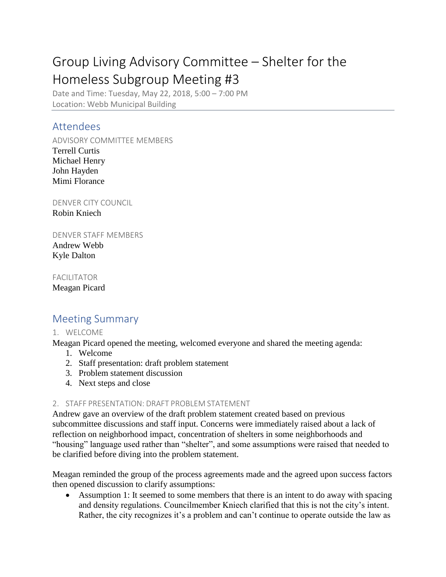# Group Living Advisory Committee – Shelter for the Homeless Subgroup Meeting #3

Date and Time: Tuesday, May 22, 2018, 5:00 – 7:00 PM Location: Webb Municipal Building

### Attendees

ADVISORY COMMITTEE MEMBERS Terrell Curtis Michael Henry John Hayden Mimi Florance

DENVER CITY COUNCIL Robin Kniech

DENVER STAFF MEMBERS Andrew Webb Kyle Dalton

FACILITATOR Meagan Picard

## Meeting Summary

#### 1. WELCOME

Meagan Picard opened the meeting, welcomed everyone and shared the meeting agenda:

- 1. Welcome
- 2. Staff presentation: draft problem statement
- 3. Problem statement discussion
- 4. Next steps and close

#### 2. STAFF PRESENTATION: DRAFT PROBLEM STATEMENT

Andrew gave an overview of the draft problem statement created based on previous subcommittee discussions and staff input. Concerns were immediately raised about a lack of reflection on neighborhood impact, concentration of shelters in some neighborhoods and "housing" language used rather than "shelter", and some assumptions were raised that needed to be clarified before diving into the problem statement.

Meagan reminded the group of the process agreements made and the agreed upon success factors then opened discussion to clarify assumptions:

• Assumption 1: It seemed to some members that there is an intent to do away with spacing and density regulations. Councilmember Kniech clarified that this is not the city's intent. Rather, the city recognizes it's a problem and can't continue to operate outside the law as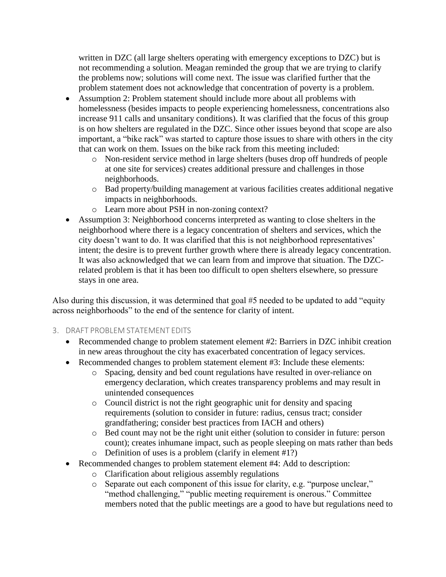written in DZC (all large shelters operating with emergency exceptions to DZC) but is not recommending a solution. Meagan reminded the group that we are trying to clarify the problems now; solutions will come next. The issue was clarified further that the problem statement does not acknowledge that concentration of poverty is a problem.

- Assumption 2: Problem statement should include more about all problems with homelessness (besides impacts to people experiencing homelessness, concentrations also increase 911 calls and unsanitary conditions). It was clarified that the focus of this group is on how shelters are regulated in the DZC. Since other issues beyond that scope are also important, a "bike rack" was started to capture those issues to share with others in the city that can work on them. Issues on the bike rack from this meeting included:
	- o Non-resident service method in large shelters (buses drop off hundreds of people at one site for services) creates additional pressure and challenges in those neighborhoods.
	- o Bad property/building management at various facilities creates additional negative impacts in neighborhoods.
	- o Learn more about PSH in non-zoning context?
- Assumption 3: Neighborhood concerns interpreted as wanting to close shelters in the neighborhood where there is a legacy concentration of shelters and services, which the city doesn't want to do. It was clarified that this is not neighborhood representatives' intent; the desire is to prevent further growth where there is already legacy concentration. It was also acknowledged that we can learn from and improve that situation. The DZCrelated problem is that it has been too difficult to open shelters elsewhere, so pressure stays in one area.

Also during this discussion, it was determined that goal #5 needed to be updated to add "equity across neighborhoods" to the end of the sentence for clarity of intent.

- 3. DRAFT PROBLEM STATEMENT EDITS
	- Recommended change to problem statement element #2: Barriers in DZC inhibit creation in new areas throughout the city has exacerbated concentration of legacy services.
	- Recommended changes to problem statement element #3: Include these elements:
		- o Spacing, density and bed count regulations have resulted in over-reliance on emergency declaration, which creates transparency problems and may result in unintended consequences
		- o Council district is not the right geographic unit for density and spacing requirements (solution to consider in future: radius, census tract; consider grandfathering; consider best practices from IACH and others)
		- o Bed count may not be the right unit either (solution to consider in future: person count); creates inhumane impact, such as people sleeping on mats rather than beds
		- o Definition of uses is a problem (clarify in element #1?)
	- Recommended changes to problem statement element #4: Add to description:
		- o Clarification about religious assembly regulations
		- o Separate out each component of this issue for clarity, e.g. "purpose unclear," "method challenging," "public meeting requirement is onerous." Committee members noted that the public meetings are a good to have but regulations need to